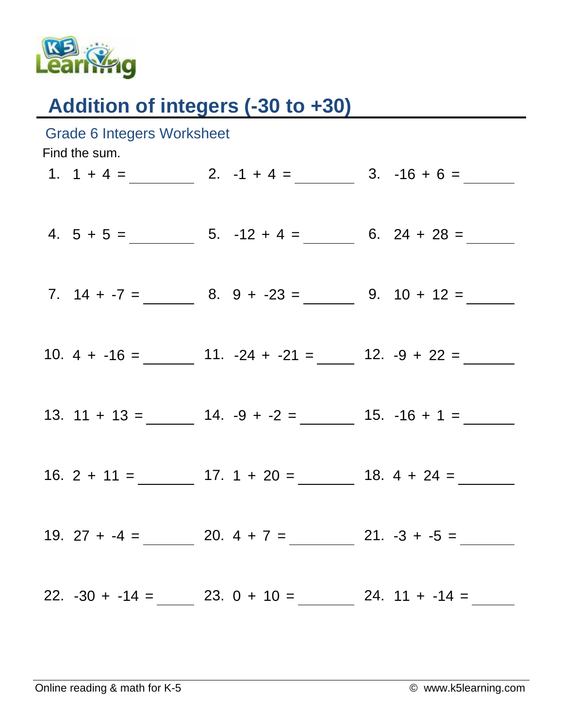

## Addition of integers (-30 to +30)

| <b>Grade 6 Integers Worksheet</b><br>Find the sum. |                                |  |                                                   |  |                  |  |
|----------------------------------------------------|--------------------------------|--|---------------------------------------------------|--|------------------|--|
|                                                    |                                |  | 1. $1 + 4 =$ 2. $-1 + 4 =$ 3. $-16 + 6 =$         |  |                  |  |
|                                                    |                                |  | 4. $5 + 5 =$ 5. $-12 + 4 =$ 6. $24 + 28 =$        |  |                  |  |
|                                                    |                                |  | 7. $14 + -7 =$ 8. $9 + -23 =$ 9. $10 + 12 =$      |  |                  |  |
|                                                    |                                |  | 10. $4 + -16 =$ 11. $-24 + -21 =$ 12. $-9 + 22 =$ |  |                  |  |
|                                                    |                                |  | 13. $11 + 13 =$ $14. -9 + -2 =$ $15. -16 + 1 =$   |  |                  |  |
|                                                    |                                |  |                                                   |  |                  |  |
|                                                    |                                |  | 19. $27 + -4 =$ 20. $4 + 7 =$ 21. $-3 + -5 =$     |  |                  |  |
|                                                    | $22. -30 + -14 = 23. 0 + 10 =$ |  |                                                   |  | $24. 11 + -14 =$ |  |